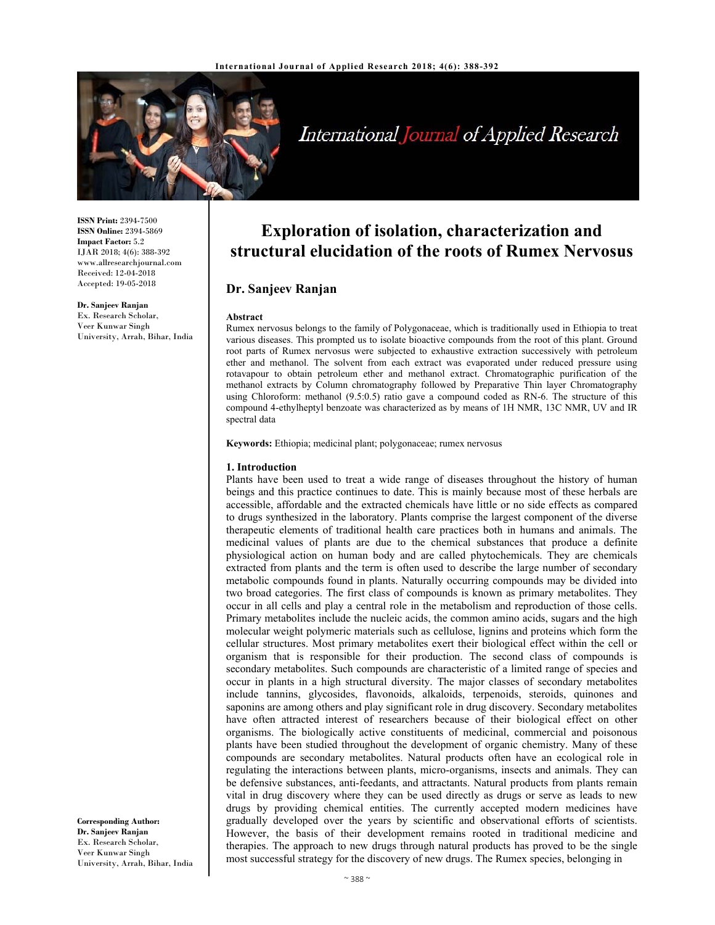

# International Journal of Applied Research

**ISSN Print:** 2394-7500 **ISSN Online:** 2394-5869 **Impact Factor:** 5.2 IJAR 2018; 4(6): 388-392 www.allresearchjournal.com Received: 12-04-2018 Accepted: 19-05-2018

**Dr. Sanjeev Ranjan**  Ex. Research Scholar, Veer Kunwar Singh University, Arrah, Bihar, India

**Exploration of isolation, characterization and structural elucidation of the roots of Rumex Nervosus**

## **Dr. Sanjeev Ranjan**

#### **Abstract**

Rumex nervosus belongs to the family of Polygonaceae, which is traditionally used in Ethiopia to treat various diseases. This prompted us to isolate bioactive compounds from the root of this plant. Ground root parts of Rumex nervosus were subjected to exhaustive extraction successively with petroleum ether and methanol. The solvent from each extract was evaporated under reduced pressure using rotavapour to obtain petroleum ether and methanol extract. Chromatographic purification of the methanol extracts by Column chromatography followed by Preparative Thin layer Chromatography using Chloroform: methanol (9.5:0.5) ratio gave a compound coded as RN-6. The structure of this compound 4-ethylheptyl benzoate was characterized as by means of 1H NMR, 13C NMR, UV and IR spectral data

**Keywords:** Ethiopia; medicinal plant; polygonaceae; rumex nervosus

#### **1. Introduction**

Plants have been used to treat a wide range of diseases throughout the history of human beings and this practice continues to date. This is mainly because most of these herbals are accessible, affordable and the extracted chemicals have little or no side effects as compared to drugs synthesized in the laboratory. Plants comprise the largest component of the diverse therapeutic elements of traditional health care practices both in humans and animals. The medicinal values of plants are due to the chemical substances that produce a definite physiological action on human body and are called phytochemicals. They are chemicals extracted from plants and the term is often used to describe the large number of secondary metabolic compounds found in plants. Naturally occurring compounds may be divided into two broad categories. The first class of compounds is known as primary metabolites. They occur in all cells and play a central role in the metabolism and reproduction of those cells. Primary metabolites include the nucleic acids, the common amino acids, sugars and the high molecular weight polymeric materials such as cellulose, lignins and proteins which form the cellular structures. Most primary metabolites exert their biological effect within the cell or organism that is responsible for their production. The second class of compounds is secondary metabolites. Such compounds are characteristic of a limited range of species and occur in plants in a high structural diversity. The major classes of secondary metabolites include tannins, glycosides, flavonoids, alkaloids, terpenoids, steroids, quinones and saponins are among others and play significant role in drug discovery. Secondary metabolites have often attracted interest of researchers because of their biological effect on other organisms. The biologically active constituents of medicinal, commercial and poisonous plants have been studied throughout the development of organic chemistry. Many of these compounds are secondary metabolites. Natural products often have an ecological role in regulating the interactions between plants, micro-organisms, insects and animals. They can be defensive substances, anti-feedants, and attractants. Natural products from plants remain vital in drug discovery where they can be used directly as drugs or serve as leads to new drugs by providing chemical entities. The currently accepted modern medicines have gradually developed over the years by scientific and observational efforts of scientists. However, the basis of their development remains rooted in traditional medicine and therapies. The approach to new drugs through natural products has proved to be the single most successful strategy for the discovery of new drugs. The Rumex species, belonging in

**Corresponding Author: Dr. Sanjeev Ranjan**  Ex. Research Scholar, Veer Kunwar Singh University, Arrah, Bihar, India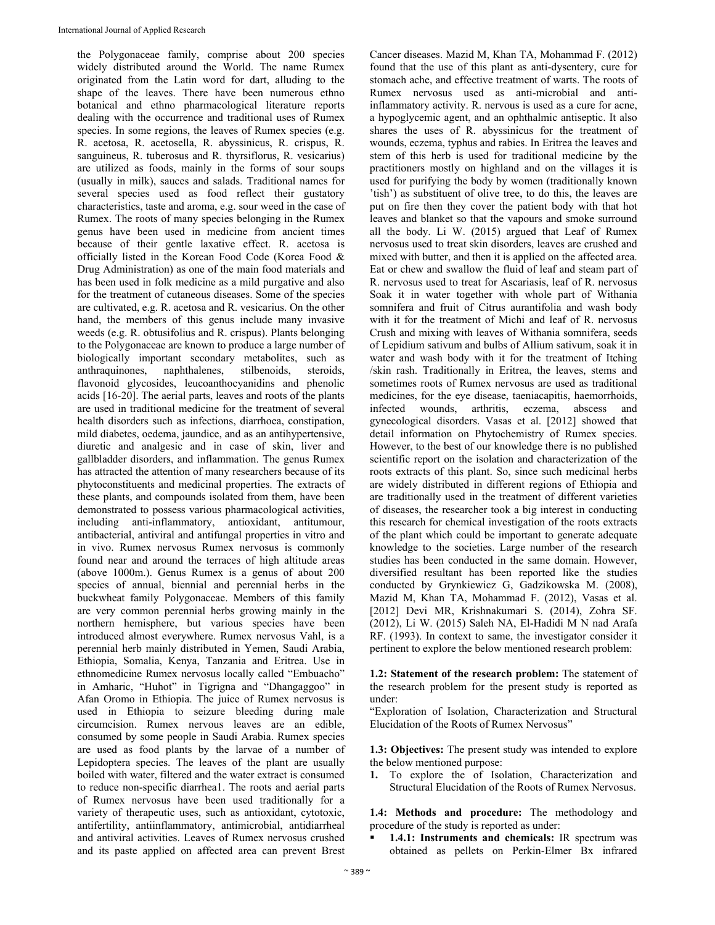the Polygonaceae family, comprise about 200 species widely distributed around the World. The name Rumex originated from the Latin word for dart, alluding to the shape of the leaves. There have been numerous ethno botanical and ethno pharmacological literature reports dealing with the occurrence and traditional uses of Rumex species. In some regions, the leaves of Rumex species (e.g. R. acetosa, R. acetosella, R. abyssinicus, R. crispus, R. sanguineus, R. tuberosus and R. thyrsiflorus, R. vesicarius) are utilized as foods, mainly in the forms of sour soups (usually in milk), sauces and salads. Traditional names for several species used as food reflect their gustatory characteristics, taste and aroma, e.g. sour weed in the case of Rumex. The roots of many species belonging in the Rumex genus have been used in medicine from ancient times because of their gentle laxative effect. R. acetosa is officially listed in the Korean Food Code (Korea Food & Drug Administration) as one of the main food materials and has been used in folk medicine as a mild purgative and also for the treatment of cutaneous diseases. Some of the species are cultivated, e.g. R. acetosa and R. vesicarius. On the other hand, the members of this genus include many invasive weeds (e.g. R. obtusifolius and R. crispus). Plants belonging to the Polygonaceae are known to produce a large number of biologically important secondary metabolites, such as anthraquinones, naphthalenes, stilbenoids, steroids, flavonoid glycosides, leucoanthocyanidins and phenolic acids [16-20]. The aerial parts, leaves and roots of the plants are used in traditional medicine for the treatment of several health disorders such as infections, diarrhoea, constipation, mild diabetes, oedema, jaundice, and as an antihypertensive, diuretic and analgesic and in case of skin, liver and gallbladder disorders, and inflammation. The genus Rumex has attracted the attention of many researchers because of its phytoconstituents and medicinal properties. The extracts of these plants, and compounds isolated from them, have been demonstrated to possess various pharmacological activities, including anti-inflammatory, antioxidant, antitumour, antibacterial, antiviral and antifungal properties in vitro and in vivo. Rumex nervosus Rumex nervosus is commonly found near and around the terraces of high altitude areas (above 1000m.). Genus Rumex is a genus of about 200 species of annual, biennial and perennial herbs in the buckwheat family Polygonaceae. Members of this family are very common perennial herbs growing mainly in the northern hemisphere, but various species have been introduced almost everywhere. Rumex nervosus Vahl, is a perennial herb mainly distributed in Yemen, Saudi Arabia, Ethiopia, Somalia, Kenya, Tanzania and Eritrea. Use in ethnomedicine Rumex nervosus locally called "Embuacho" in Amharic, "Huhot" in Tigrigna and "Dhangaggoo" in Afan Oromo in Ethiopia. The juice of Rumex nervosus is used in Ethiopia to seizure bleeding during male circumcision. Rumex nervous leaves are an edible, consumed by some people in Saudi Arabia. Rumex species are used as food plants by the larvae of a number of Lepidoptera species. The leaves of the plant are usually boiled with water, filtered and the water extract is consumed to reduce non-specific diarrhea1. The roots and aerial parts of Rumex nervosus have been used traditionally for a variety of therapeutic uses, such as antioxidant, cytotoxic, antifertility, antiinflammatory, antimicrobial, antidiarrheal and antiviral activities. Leaves of Rumex nervosus crushed and its paste applied on affected area can prevent Brest

Cancer diseases. Mazid M, Khan TA, Mohammad F. (2012) found that the use of this plant as anti-dysentery, cure for stomach ache, and effective treatment of warts. The roots of Rumex nervosus used as anti-microbial and antiinflammatory activity. R. nervous is used as a cure for acne, a hypoglycemic agent, and an ophthalmic antiseptic. It also shares the uses of R. abyssinicus for the treatment of wounds, eczema, typhus and rabies. In Eritrea the leaves and stem of this herb is used for traditional medicine by the practitioners mostly on highland and on the villages it is used for purifying the body by women (traditionally known 'tish') as substituent of olive tree, to do this, the leaves are put on fire then they cover the patient body with that hot leaves and blanket so that the vapours and smoke surround all the body. Li W. (2015) argued that Leaf of Rumex nervosus used to treat skin disorders, leaves are crushed and mixed with butter, and then it is applied on the affected area. Eat or chew and swallow the fluid of leaf and steam part of R. nervosus used to treat for Ascariasis, leaf of R. nervosus Soak it in water together with whole part of Withania somnifera and fruit of Citrus aurantifolia and wash body with it for the treatment of Michi and leaf of R. nervosus Crush and mixing with leaves of Withania somnifera, seeds of Lepidium sativum and bulbs of Allium sativum, soak it in water and wash body with it for the treatment of Itching /skin rash. Traditionally in Eritrea, the leaves, stems and sometimes roots of Rumex nervosus are used as traditional medicines, for the eye disease, taeniacapitis, haemorrhoids, infected wounds, arthritis, eczema, abscess and gynecological disorders. Vasas et al. [2012] showed that detail information on Phytochemistry of Rumex species. However, to the best of our knowledge there is no published scientific report on the isolation and characterization of the roots extracts of this plant. So, since such medicinal herbs are widely distributed in different regions of Ethiopia and are traditionally used in the treatment of different varieties of diseases, the researcher took a big interest in conducting this research for chemical investigation of the roots extracts of the plant which could be important to generate adequate knowledge to the societies. Large number of the research studies has been conducted in the same domain. However, diversified resultant has been reported like the studies conducted by Grynkiewicz G, Gadzikowska M. (2008), Mazid M, Khan TA, Mohammad F. (2012), Vasas et al. [2012] Devi MR, Krishnakumari S. (2014), Zohra SF. (2012), Li W. (2015) Saleh NA, El-Hadidi M N nad Arafa RF. (1993). In context to same, the investigator consider it pertinent to explore the below mentioned research problem:

**1.2: Statement of the research problem:** The statement of the research problem for the present study is reported as under:

"Exploration of Isolation, Characterization and Structural Elucidation of the Roots of Rumex Nervosus"

**1.3: Objectives:** The present study was intended to explore the below mentioned purpose:

**1.** To explore the of Isolation, Characterization and Structural Elucidation of the Roots of Rumex Nervosus.

**1.4: Methods and procedure:** The methodology and procedure of the study is reported as under:

 **1.4.1: Instruments and chemicals:** IR spectrum was obtained as pellets on Perkin-Elmer Bx infrared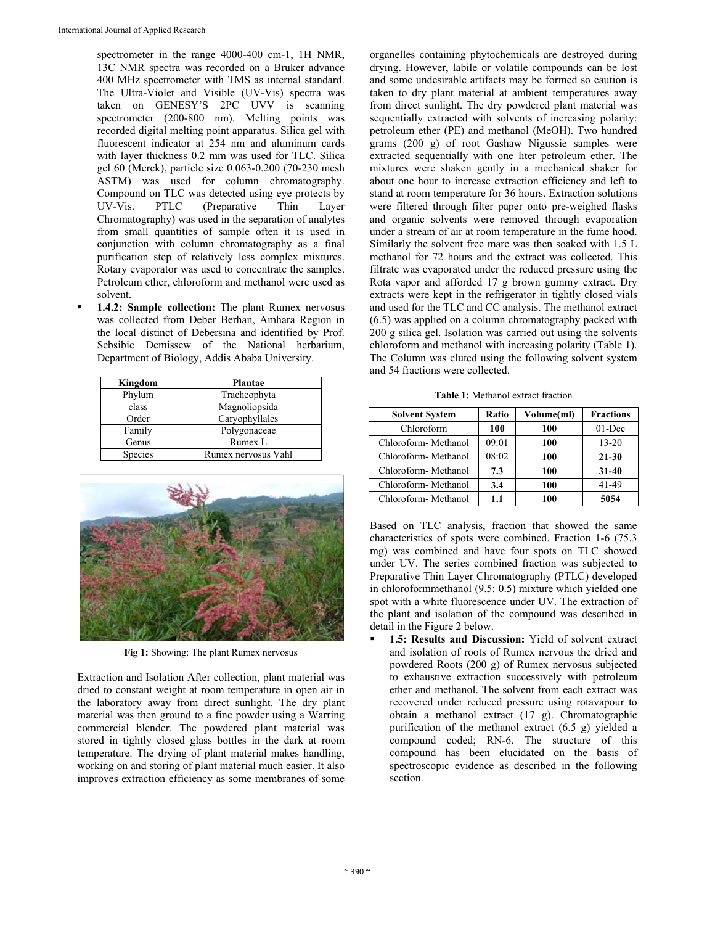spectrometer in the range 4000-400 cm-1, 1H NMR, 13C NMR spectra was recorded on a Bruker advance 400 MHz spectrometer with TMS as internal standard. The Ultra-Violet and Visible (UV-Vis) spectra was taken on GENESY'S 2PC UVV is scanning spectrometer (200-800 nm). Melting points was recorded digital melting point apparatus. Silica gel with fluorescent indicator at 254 nm and aluminum cards with layer thickness 0.2 mm was used for TLC. Silica gel 60 (Merck), particle size 0.063-0.200 (70-230 mesh ASTM) was used for column chromatography. Compound on TLC was detected using eye protects by UV-Vis. PTLC (Preparative Thin Layer Chromatography) was used in the separation of analytes from small quantities of sample often it is used in conjunction with column chromatography as a final purification step of relatively less complex mixtures. Rotary evaporator was used to concentrate the samples. Petroleum ether, chloroform and methanol were used as solvent.

 **1.4.2: Sample collection:** The plant Rumex nervosus was collected from Deber Berhan, Amhara Region in the local distinct of Debersina and identified by Prof. Sebsibie Demissew of the National herbarium, Department of Biology, Addis Ababa University.

| Kingdom | <b>Plantae</b>      |  |
|---------|---------------------|--|
| Phylum  | Tracheophyta        |  |
| class   | Magnoliopsida       |  |
| Order   | Caryophyllales      |  |
| Family  | Polygonaceae        |  |
| Genus   | Rumex L             |  |
| Species | Rumex nervosus Vahl |  |



**Fig 1:** Showing: The plant Rumex nervosus

Extraction and Isolation After collection, plant material was dried to constant weight at room temperature in open air in the laboratory away from direct sunlight. The dry plant material was then ground to a fine powder using a Warring commercial blender. The powdered plant material was stored in tightly closed glass bottles in the dark at room temperature. The drying of plant material makes handling, working on and storing of plant material much easier. It also improves extraction efficiency as some membranes of some

organelles containing phytochemicals are destroyed during drying. However, labile or volatile compounds can be lost and some undesirable artifacts may be formed so caution is taken to dry plant material at ambient temperatures away from direct sunlight. The dry powdered plant material was sequentially extracted with solvents of increasing polarity: petroleum ether (PE) and methanol (MeOH). Two hundred grams (200 g) of root Gashaw Nigussie samples were extracted sequentially with one liter petroleum ether. The mixtures were shaken gently in a mechanical shaker for about one hour to increase extraction efficiency and left to stand at room temperature for 36 hours. Extraction solutions were filtered through filter paper onto pre-weighed flasks and organic solvents were removed through evaporation under a stream of air at room temperature in the fume hood. Similarly the solvent free marc was then soaked with 1.5 L methanol for 72 hours and the extract was collected. This filtrate was evaporated under the reduced pressure using the Rota vapor and afforded 17 g brown gummy extract. Dry extracts were kept in the refrigerator in tightly closed vials and used for the TLC and CC analysis. The methanol extract (6.5) was applied on a column chromatography packed with 200 g silica gel. Isolation was carried out using the solvents chloroform and methanol with increasing polarity (Table 1). The Column was eluted using the following solvent system and 54 fractions were collected.

**Table 1:** Methanol extract fraction

| <b>Solvent System</b> | Ratio | Volume(ml) | <b>Fractions</b> |
|-----------------------|-------|------------|------------------|
| Chloroform            | 100   | 100        | $01$ -Dec        |
| Chloroform-Methanol   | 09:01 | 100        | $13 - 20$        |
| Chloroform-Methanol   | 08:02 | 100        | 21-30            |
| Chloroform-Methanol   | 7.3   | 100        | $31 - 40$        |
| Chloroform-Methanol   | 3.4   | 100        | 41-49            |
| Chloroform-Methanol   | 1.1   | 100        | 5054             |

Based on TLC analysis, fraction that showed the same characteristics of spots were combined. Fraction 1-6 (75.3 mg) was combined and have four spots on TLC showed under UV. The series combined fraction was subjected to Preparative Thin Layer Chromatography (PTLC) developed in chloroformmethanol (9.5: 0.5) mixture which yielded one spot with a white fluorescence under UV. The extraction of the plant and isolation of the compound was described in detail in the Figure 2 below.

 **1.5: Results and Discussion:** Yield of solvent extract and isolation of roots of Rumex nervous the dried and powdered Roots (200 g) of Rumex nervosus subjected to exhaustive extraction successively with petroleum ether and methanol. The solvent from each extract was recovered under reduced pressure using rotavapour to obtain a methanol extract (17 g). Chromatographic purification of the methanol extract (6.5 g) yielded a compound coded; RN-6. The structure of this compound has been elucidated on the basis of spectroscopic evidence as described in the following section.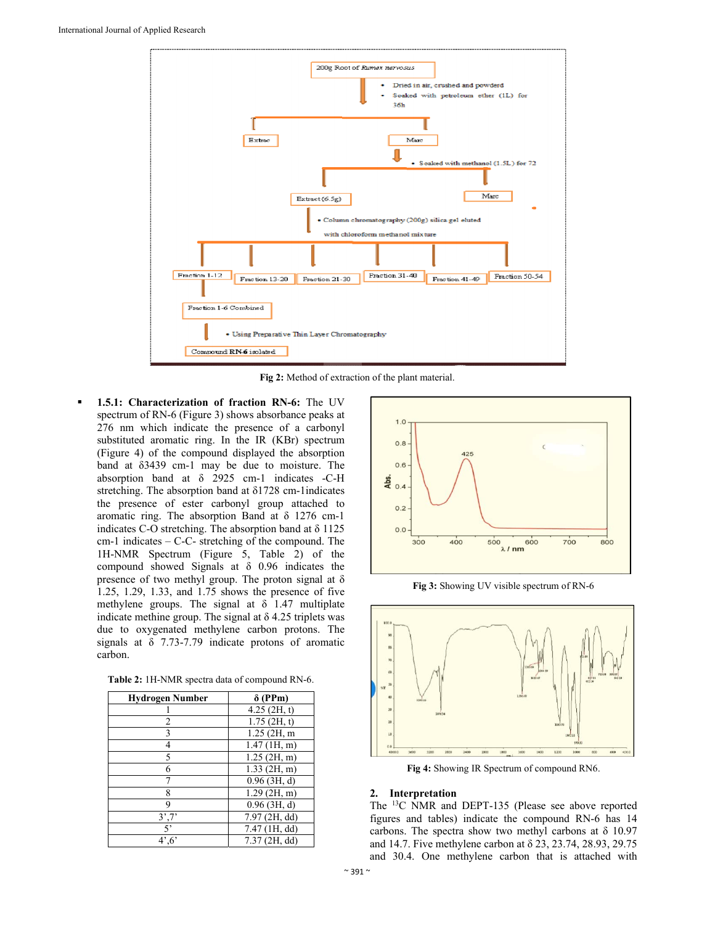

**Fig 2:** Method of extraction of the plant material.

 **1.5.1: Characterization of fraction RN-6:** The UV spectrum of RN-6 (Figure 3) shows absorbance peaks at 276 nm which indicate the presence of a carbonyl substituted aromatic ring. In the IR (KBr) spectrum (Figure 4) of the compound displayed the absorption band at δ3439 cm-1 may be due to moisture. The absorption band at δ 2925 cm-1 indicates -C-H stretching. The absorption band at δ1728 cm-1indicates the presence of ester carbonyl group attached to aromatic ring. The absorption Band at δ 1276 cm-1 indicates C-O stretching. The absorption band at δ 1125 cm-1 indicates – C-C- stretching of the compound. The 1H-NMR Spectrum (Figure 5, Table 2) of the compound showed Signals at δ 0.96 indicates the presence of two methyl group. The proton signal at  $\delta$ 1.25, 1.29, 1.33, and 1.75 shows the presence of five methylene groups. The signal at  $\delta$  1.47 multiplate indicate methine group. The signal at  $\delta$  4.25 triplets was due to oxygenated methylene carbon protons. The signals at δ 7.73-7.79 indicate protons of aromatic carbon.

|  |  | <b>Table 2:</b> 1H-NMR spectra data of compound RN-6. |
|--|--|-------------------------------------------------------|
|--|--|-------------------------------------------------------|

| <b>Hydrogen Number</b>      | $\delta$ (PPm)  |
|-----------------------------|-----------------|
|                             | $4.25$ (2H, t)  |
| 2                           | $1.75$ (2H, t)  |
| 3                           | 1.25 (2H, m     |
| 4                           | $1.47$ (1H, m)  |
| 5                           | $1.25$ (2H, m)  |
| 6                           | $1.33$ (2H, m)  |
|                             | $0.96$ (3H, d)  |
| 8                           | $1.29$ (2H, m)  |
| 9                           | $0.96$ (3H, d)  |
| 3',7'                       | 7.97 (2H, dd)   |
| 5                           | $7.47$ (1H, dd) |
| $4^{\circ}$ ,6 <sup>3</sup> | $7.37$ (2H, dd) |



**Fig 3:** Showing UV visible spectrum of RN-6



**Fig 4:** Showing IR Spectrum of compound RN6.

#### **2. Interpretation**

The 13C NMR and DEPT-135 (Please see above reported figures and tables) indicate the compound RN-6 has 14 carbons. The spectra show two methyl carbons at  $\delta$  10.97 and 14.7. Five methylene carbon at δ 23, 23.74, 28.93, 29.75 and 30.4. One methylene carbon that is attached with